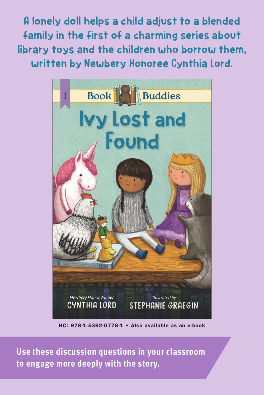A lonely doll helps a child adjust to a blended family in the first of a charming series about library toys and the children who borrow them, written by Newbery Honoree Cynthia Lord.



HC: 978-1-5362-0778-1 • Also available as an e-book

**Use these discussion questions in your classroom to engage more deeply with the story.**